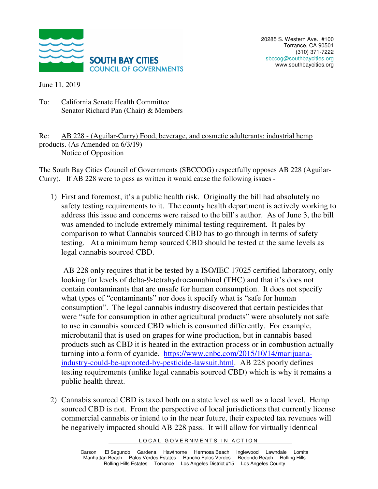

June 11, 2019

To: California Senate Health Committee Senator Richard Pan (Chair) & Members

## Re: AB 228 - (Aguilar-Curry) Food, beverage, and cosmetic adulterants: industrial hemp products. (As Amended on 6/3/19) Notice of Opposition

The South Bay Cities Council of Governments (SBCCOG) respectfully opposes AB 228 (Aguilar-Curry). If AB 228 were to pass as written it would cause the following issues -

1) First and foremost, it's a public health risk. Originally the bill had absolutely no safety testing requirements to it. The county health department is actively working to address this issue and concerns were raised to the bill's author. As of June 3, the bill was amended to include extremely minimal testing requirement. It pales by comparison to what Cannabis sourced CBD has to go through in terms of safety testing. At a minimum hemp sourced CBD should be tested at the same levels as legal cannabis sourced CBD.

 AB 228 only requires that it be tested by a ISO/IEC 17025 certified laboratory, only looking for levels of delta-9-tetrahydrocannabinol (THC) and that it's does not contain contaminants that are unsafe for human consumption. It does not specify what types of "contaminants" nor does it specify what is "safe for human consumption". The legal cannabis industry discovered that certain pesticides that were "safe for consumption in other agricultural products" were absolutely not safe to use in cannabis sourced CBD which is consumed differently. For example, microbutanil that is used on grapes for wine production, but in cannabis based products such as CBD it is heated in the extraction process or in combustion actually turning into a form of cyanide. https://www.cnbc.com/2015/10/14/marijuanaindustry-could-be-uprooted-by-pesticide-lawsuit.html. AB 228 poorly defines testing requirements (unlike legal cannabis sourced CBD) which is why it remains a public health threat.

2) Cannabis sourced CBD is taxed both on a state level as well as a local level. Hemp sourced CBD is not. From the perspective of local jurisdictions that currently license commercial cannabis or intend to in the near future, their expected tax revenues will be negatively impacted should AB 228 pass. It will allow for virtually identical

LOCAL GOVERNMENTS IN ACTION